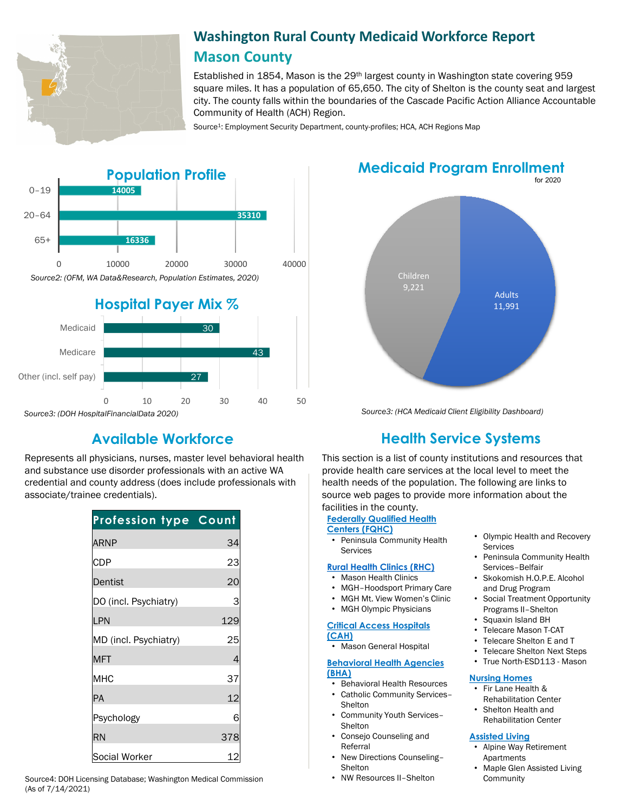

# **Washington Rural County Medicaid Workforce Report Mason County**

Established in 1854, Mason is the 29th largest county in Washington state covering 959 square miles. It has a population of 65,650. The city of Shelton is the county seat and largest city. The county falls within the boundaries of the Cascade Pacific Action Alliance Accountable Community of Health (ACH) Region.

Source<sup>1</sup>: Employment Security Department, county-profiles; HCA, ACH Regions Map



Represents all physicians, nurses, master level behavioral health and substance use disorder professionals with an active WA credential and county address (does include professionals with associate/trainee credentials).

| <b>Profession type Count</b> |     |
|------------------------------|-----|
| ARNP                         | 34  |
| <b>CDP</b>                   | 23  |
| Dentist                      | 2C  |
| DO (incl. Psychiatry)        | 3   |
| LPN                          | 129 |
| MD (incl. Psychiatry)        | 25  |
| <b>MFT</b>                   | 4   |
| МНС                          | 37  |
| PA                           | 12  |
| Psychology                   | 6   |
| RN                           | 378 |
| Social Worker                | 12  |

Source4: DOH Licensing Database; Washington Medical Commission • NW Resources II-Shelton (As of 7/14/2021)

# **Medicaid Program Enrollment**



*Source3: (HCA Medicaid Client Eligibility Dashboard)*

# **Available Workforce Health Service Systems**

This section is a list of county institutions and resources that provide health care services at the local level to meet the health needs of the population. The following are links to source web pages to provide more information about the facilities in the county.

## **Federally Qualified Health**

**Centers (FQHC)** • Peninsula Community Health

# Services

- **[Rural Health Clinics \(RHC\)](https://www.doh.wa.gov/ForPublicHealthandHealthcareProviders/RuralHealth/RuralHealthSystems)**
- Mason Health Clinics
- MGH–Hoodsport Primary Care
- MGH Mt. View Women's Clinic
- MGH Olympic Physicians

#### **[Critical Access Hospitals](https://www.doh.wa.gov/ForPublicHealthandHealthcareProviders/RuralHealth/RuralHealthSystems)  (CAH)**

• Mason General Hospital

#### **[Behavioral Health Agencies](https://www.doh.wa.gov/LicensesPermitsandCertificates/ProviderCredentialSearch) (BHA)**

- Behavioral Health Resources
- Catholic Community Services–
- Shelton • Community Youth Services– Shelton
- Consejo Counseling and Referral
- New Directions Counseling– **Shelton**
- 
- Olympic Health and Recovery Services
- Peninsula Community Health Services–Belfair
- Skokomish H.O.P.E. Alcohol and Drug Program
- Social Treatment Opportunity Programs II–Shelton
- Squaxin Island BH
- Telecare Mason T-CAT
- Telecare Shelton E and T
- Telecare Shelton Next Steps
- True North-ESD113 Mason

#### **[Nursing Homes](https://fortress.wa.gov/dshs/adsaapps/lookup/NHPubLookup.aspx)**

- Fir Lane Health & Rehabilitation Center
- Shelton Health and Rehabilitation Center

### **[Assisted Living](https://fortress.wa.gov/dshs/adsaapps/lookup/BHPubLookup.aspx)**

- Alpine Way Retirement Apartments
- Maple Glen Assisted Living Community